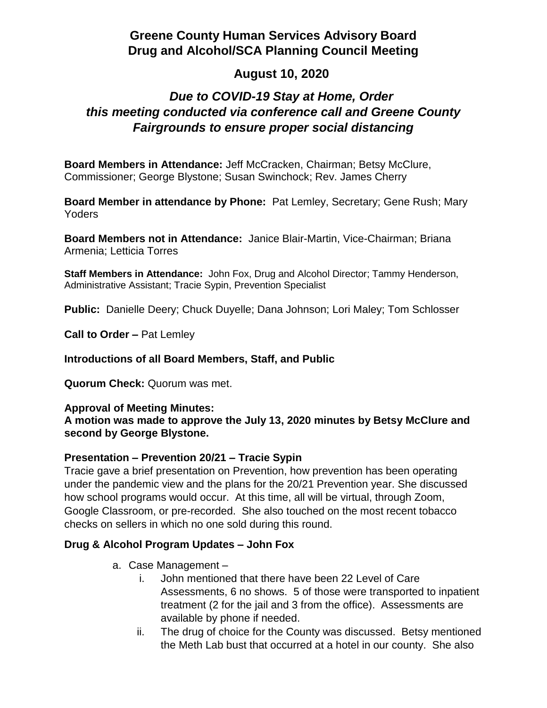# **Greene County Human Services Advisory Board Drug and Alcohol/SCA Planning Council Meeting**

## **August 10, 2020**

# *Due to COVID-19 Stay at Home, Order this meeting conducted via conference call and Greene County Fairgrounds to ensure proper social distancing*

**Board Members in Attendance:** Jeff McCracken, Chairman; Betsy McClure, Commissioner; George Blystone; Susan Swinchock; Rev. James Cherry

**Board Member in attendance by Phone:** Pat Lemley, Secretary; Gene Rush; Mary Yoders

**Board Members not in Attendance:** Janice Blair-Martin, Vice-Chairman; Briana Armenia; Letticia Torres

**Staff Members in Attendance:** John Fox, Drug and Alcohol Director; Tammy Henderson, Administrative Assistant; Tracie Sypin, Prevention Specialist

**Public:** Danielle Deery; Chuck Duyelle; Dana Johnson; Lori Maley; Tom Schlosser

**Call to Order –** Pat Lemley

**Introductions of all Board Members, Staff, and Public**

**Quorum Check:** Quorum was met.

#### **Approval of Meeting Minutes:**

**A motion was made to approve the July 13, 2020 minutes by Betsy McClure and second by George Blystone.**

### **Presentation – Prevention 20/21 – Tracie Sypin**

Tracie gave a brief presentation on Prevention, how prevention has been operating under the pandemic view and the plans for the 20/21 Prevention year. She discussed how school programs would occur. At this time, all will be virtual, through Zoom, Google Classroom, or pre-recorded. She also touched on the most recent tobacco checks on sellers in which no one sold during this round.

### **Drug & Alcohol Program Updates – John Fox**

- a. Case Management
	- i. John mentioned that there have been 22 Level of Care Assessments, 6 no shows. 5 of those were transported to inpatient treatment (2 for the jail and 3 from the office). Assessments are available by phone if needed.
	- ii. The drug of choice for the County was discussed. Betsy mentioned the Meth Lab bust that occurred at a hotel in our county. She also